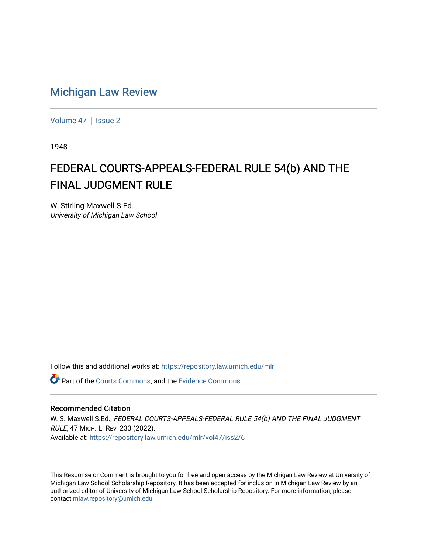## [Michigan Law Review](https://repository.law.umich.edu/mlr)

[Volume 47](https://repository.law.umich.edu/mlr/vol47) | [Issue 2](https://repository.law.umich.edu/mlr/vol47/iss2)

1948

# FEDERAL COURTS-APPEALS-FEDERAL RULE 54(b) AND THE FINAL JUDGMENT RULE

W. Stirling Maxwell S.Ed. University of Michigan Law School

Follow this and additional works at: [https://repository.law.umich.edu/mlr](https://repository.law.umich.edu/mlr?utm_source=repository.law.umich.edu%2Fmlr%2Fvol47%2Fiss2%2F6&utm_medium=PDF&utm_campaign=PDFCoverPages) 

Part of the [Courts Commons,](http://network.bepress.com/hgg/discipline/839?utm_source=repository.law.umich.edu%2Fmlr%2Fvol47%2Fiss2%2F6&utm_medium=PDF&utm_campaign=PDFCoverPages) and the [Evidence Commons](http://network.bepress.com/hgg/discipline/601?utm_source=repository.law.umich.edu%2Fmlr%2Fvol47%2Fiss2%2F6&utm_medium=PDF&utm_campaign=PDFCoverPages) 

## Recommended Citation

W. S. Maxwell S.Ed., FEDERAL COURTS-APPEALS-FEDERAL RULE 54(b) AND THE FINAL JUDGMENT RULE, 47 MICH. L. REV. 233 (2022). Available at: [https://repository.law.umich.edu/mlr/vol47/iss2/6](https://repository.law.umich.edu/mlr/vol47/iss2/6?utm_source=repository.law.umich.edu%2Fmlr%2Fvol47%2Fiss2%2F6&utm_medium=PDF&utm_campaign=PDFCoverPages)

This Response or Comment is brought to you for free and open access by the Michigan Law Review at University of Michigan Law School Scholarship Repository. It has been accepted for inclusion in Michigan Law Review by an authorized editor of University of Michigan Law School Scholarship Repository. For more information, please contact [mlaw.repository@umich.edu](mailto:mlaw.repository@umich.edu).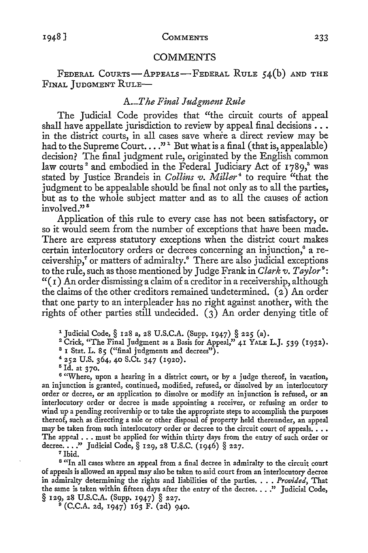#### **COMMENTS**

FEDERAL COURTS-APPEALS-FEDERAL RULE 54(b) AND THE FINAL JUDGMENT RuLE-

## *A.\_T he Final Judgment Rule*

The Judicial Code provides that "the circuit courts of appeal shall have appellate jurisdiction to review by appeal final decisions . . . in the district courts, in all cases save where a direct review may be had to the Supreme Court...."<sup>1</sup> But what is a final (that is, appealable) decision? The final judgment rule, originated by the English common law courts<sup>2</sup> and embodied in the Federal Judiciary Act of 1789,<sup>3</sup> was stated by Justice Brandeis in *Collins v. Miller*<sup>4</sup> to require "that the judgment *to* be appealable should be final not only as to all the parties, but as to the whole subject matter and as *to* all the causes of action  $involved$ <sup>335</sup>

Application of this rule *to* every case has not been satisfactory, or so it would seem from the number of exceptions that have been made. There are express statutory exceptions when the district court makes certain interlocutory orders or decrees concerning an injunction,° a receivership,<sup>7</sup> or matters of admiralty.<sup>8</sup> There are also judicial exceptions *to* the rule, such as those mentioned by Judge Frank in *Clark v. Taylor* <sup>9</sup> :  $''(1)$  An order dismissing a claim of a creditor in a receivership, although the claims of the other creditors remained undetermined.  $(a)$  An order that one party to an interpleader has no right against another, with the rights of other parties still undecided.  $(3)$  An order denying title of

1 Judicial Code,§ 128 a, 28 U.S.C.A. (Supp. 1947) § 225 (a).

<sup>2</sup> Crick, "The Final Judgment as a Basis for Appeal," 41 YALE L.J. 539 (1932).

 $3$  I Stat. L. 85 ("final judgments and decrees").

<sup>4</sup>252 U.S. 364, 40 S.Ct. 347 (1920). 5 Id. at 370.

<sup>6</sup> "Where, upon a hearing in a district court, or by a judge thereof, in vacation, an injunction is granted, continued, modified, refused, or dissolved by an interlocutory order or decree, or an application *to* dissolve or modify an injunction is refused, or an interlocutory order or decree is made appointing a receiver, or refusing an order to wind up a pending receivership or to take the appropriate steps to accomplish the purposes thereof, such as directing a sale or other disposal of property held thereunder, an appeal may be taken from such interlocutory order or decree to the circuit court of appeals.  $\ldots$ The appeal . . . must be applied for within thirty days from the entry of such order or decree . . . ." Judicial Code, § 129, 28 U.S.C. (1946) § 227.<br>7 Ibid.

<sup>8</sup> "In all cases where an appeal from a final decree in admiralty to the circuit court of appeals is allowed an appeal may also be taken to said court from an interlocutory decree in admiralty determining the rights and liabilities of the parties ...• *Provided,* That the same is taken within fifteen days after the entry of the decree...." Judicial Code, § 129, 28 U.S.C.A. (Supp. 1947) § 227.

 $(C.C.A. 2d, 1947) 163 F. (2d) 940.$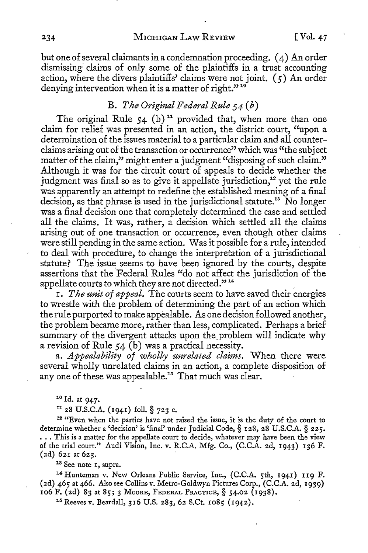234 MICHIGAN LAW REVIEW [Vol. 47]

but one of several claimants in a condemnation proceeding. ( 4) An order dismissing claims of only some of the plaintiffs in a trust accounting action, where the divers plaintiffs' claims were not joint. *(5)* An order denying intervention when it is a matter of right."<sup>10</sup>

## B. *The Original Federal Rule 5 4* ( *b)*

The original Rule  $54$  (b)<sup>11</sup> provided that, when more than one claim for relief was presented in an action, the district court, "upon a determination of the issues material to a particular claim and all counterclaims arising out of the transaction or occurrence" which was "the subject matter of the claim," might enter a judgment "disposing of such claim." Although it was for the circuit court of appeals to decide whether the judgment was final so as to give it appellate jurisdiction,<sup>12</sup> yet the rule was apparently an attempt to redefine the established meaning of a final decision, as that phrase is used in the jurisdictional statute.<sup>13</sup> No longer was a final decision one that completely determined the case and settled all the claims. It was, rather, a decision which settled all the claims arising out of one transaction or occurrence, even though other claims were still pending in the same action. Was it possible for a rule, intended to deal with procedure, to change the interpretation of a jurisdictional statute? The issue seems to have been ignored by the courts, despite assertions that the Federal Rules "do not affect the jurisdiction of the appellate courts to which they are not directed."<sup>14</sup>

I. *The unit of appeal.* The courts seem to have saved their energies to wrestle with the problem of determining the part of an action which the rule purported to make appealable. As one decision followed another, the problem became more, rather than less, complicated. Perhaps a brief summary of the divergent attacks upon the problem will indicate why a revision of Rule 54 (b) was a practical necessity.

a. *Appealability of wholly unrelated claims.* When there were several wholly unrelated claims in an action, a complete disposition of any one of these was appealable.<sup>15</sup> That much was clear.

<sup>10</sup> Id. at 947.<br><sup>11</sup> 28 U.S.C.A. (1941) foll. § 723 c.

<sup>12</sup>"Even when the parties have not raised the issue, it is the duty of the court *to*  determine whether a 'decision' is 'final' under Judicial Code, § 128, 28 U.S.C.A. § 225. ... This is a matter for the appellate court to decide, whatever may have been the view of the trial court." Audi Vision, Inc. v. R.C.A. Mfg. Co., (C.C.A. 2d, 1943) 136 F. (2d) 621 at 623.<br><sup>18</sup> See note 1, supra.<br><sup>14</sup> Hunteman v. New Orleans Public Service, Inc., (C.C.A. 5th, 1941) 119 F.

(2d) 465 at 466. Also see Collins v. Metro-Goldwyn Pictures Corp., (C.C.A. 2d, 1939) 106 F. (2d) 83 at 85; 3 MooRE, FEDERAL PRACTICE,§ 54.02 (1938). 15 Reeves v. Beardall, 316 U.S. 283, 62 S.Ct. 1085 (1942).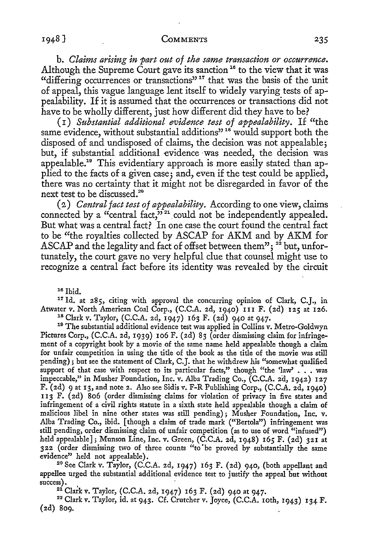b. *Claims arising in part out of the same transaction or occurrence.*  Although the Supreme Court gave its sanction<sup>16</sup> to the view that it was "differing occurrences or transactions"<sup>17</sup> that was the basis of the unit of appeal, this vague language lent itself to widely varying tests of appealability. If it is assumed that the occurrences or transactions did not have to be wholly different, just how different did they have to be?

(I) *Substantial additional evidence test of appealability.* If "the same evidence, without substantial additions"<sup>18</sup> would support both the disposed of and undisposed of claims, the decision was not appealable; but, if substantial additional evidence was needed, the decision was appealable.19 This evidentiary approach is more easily stated than applied to the facts of a given case; and, even if the test could be applied, there was no certainty that it might not be disregarded in favor of the next test to be discussed.<sup>20</sup>

(2) *Central fact test of appealability.* According to one view, claims connected by a "central fact," $v^{21}$  could not be independently appealed. But what was a central fact? In one case the court found the central fact to be "the royalties collected by ASCAP for AKM and by AKM for ASCAP and the legality and fact of offset between them";  $2^2$  but, unfortunately, the court gave no very helpful clue that counsel might use to recognize a central fact before its identity was revealed by the circuit

16 Ibid.

<sup>17</sup> Id. at 285, citing with approval the concurring opinion of Clark, C.J., in Atwater v. North American Coal Corp., (C.C.A. 2d, 1940) III F. (2d) 125 at 126.<br><sup>18</sup> Clark v. Taylor, (C.C.A. 2d, 1947) 163 F. (2d) 940 at 947.<br><sup>19</sup> The substantial additional evidence test was applied in Collins v. Metro-

Pictures Corp., (C.C.A. 2d, 1939) 106 F. (2d) 83 (order dismissing claim for infringement of a copyright book by a movie of the same name held appealable though a claim for unfair competition in using the title of the book as the title of the movie was still pending); but see the statement of Clark, C.J. that he withdrew his "somewhat qualified support of that case with respect to its particular facts," though "the 'law'  $\ldots$  was impeccable," in Musher Foundation, Inc. v. Alba Trading Co., (C.C.A. 2d, 1942) 127 F. (2d) 9 at 13, and note 2. Also see Sidis v. F-R Publishing Corp., (C.C.A. 2d, 1940) 113 F. (2d) 806 (order dismissing claims for violation of privacy in five states and infringement of a civil rights statute in a sixth state held appealable though a claim of malicious libel in nine other states was still pending); Musher Foundation, Inc. v. Alba Trading Co., ibid. [ though a claim of trade mark ("Bertola") infringement was still pending, order dismissing claim of unfair competition (as to use of word "infused") held appealable]; Munson Line, Inc. v. Green, (C.C.A. 2d, 1948) 165 F. (2d) 321 at 322 (order dismissing two of three counts "to "be proved by substantially the same

evidence» held not appealable). 20 See Clark v. Taylor, (C.C.A. 2d, 1947) 163 F. (2d) 940, (both appellant and appellee urged the substantial additional evidence test to justify the appeal but without success).  $^{21}$  Clark v. Taylor, (C.C.A. 2d, 1947) 163 F. (2d) 940 at 947.  $^{22}$  Clark v. Taylor, id. at 943. Cf. Crutcher v. Joyce, (C.C.A. 10th, 1943) 134 F.

(2d) 809.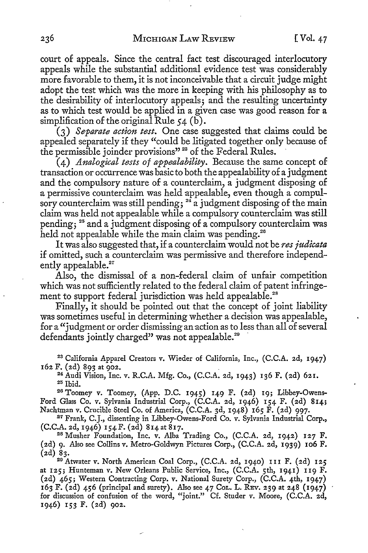court of appeals. Since the central fact test discouraged interlocutory appeals while the substantial additional evidence test was considerably more favorable to them, it is not inconceivable that a circuit judge might adopt the test which was the more in keeping with his philosophy as to the desirability of interlocutory appeals; and the resulting uncertainty as to which test would be applied in a given case was good reason for a simplification of the original Rule *5* 4 (b).

(3) *Separate action test.* One case suggested that claims could be appealed separately if they "could be litigated together only because of the permissible joinder provisions"<sup>23</sup> of the Federal Rules.

(4) *Analogical tests of appealability.* Because the same concept of transaction or occurrence was basic to both the appealability of a judgment and the compulsory nature of a counterclaim, a judgment disposing of a permissive counterclaim was held appealable, even though a compulsory counterclaim was still pending;  $24 \text{ a}$  judgment disposing of the main claim was held not appealable while a compulsory counterclaim was still pending; 25 and a judgment disposing of a compulsory counterclaim was held not appealable while the main claim was pending.<sup>26</sup>

It was also suggested that, if a counterclaim would not be *res judicata*  if omitted, such a counterclaim was permissive and therefore independently appealable.<sup>27</sup>

Also, the dismissal of a non-federal claim of unfair competition which was not sufficiently related to the federal claim of patent infringement to support federal jurisdiction was held appealable.<sup>28</sup>

Finally, it should be pointed out that the concept of joint liability was sometimes useful in determining whether a decision was appealable, for a "judgment or order dismissing an action as to less than all of several defendants jointly charged" was not appealable.<sup>29</sup>

23 California Apparel Creators v. Wieder of California, Inc., (C.C.A. 2d, 1947)

162 F. (2d) 893 at 902.<br><sup>24</sup> Audi Vision, Inc. v. R.C.A. Mfg. Co., (C.C.A. 2d, 1943) 136 F. (2d) 621.<br><sup>25</sup> Ibid. <sup>26</sup> Toomey v. Toomey, (App. D.C. 1945) 149 F. (2d) 19; Libbey-Owens-

Ford Glass Co. v. Sylvania Industrial Corp., (C.C.A. 2d, 1946) 154 F. (2d) **814;**  Nachtman v. Crucible Steel Co. of America, (C.C.A. 3d, 1948) 165 F. (2d) 997.<br><sup>27</sup> Frank, C.J., dissenting in Libbey-Owens-Ford Co. v. Sylvania Industrial Corp.,

(C.C.A. 2d, 1946) 154 F. (2d) 814 at 817.<br><sup>28</sup> Musher Foundation, Inc. v. Alba Trading Co., (C.C.A. 2d, 1942) 127 F.

(2d) 9. Also see Collins v. Metro-Goldwyn Pictures Corp., (C.C.A. 2d, 1939) 106 F.  $(2d)$  83.

29 Atwater v. North American Coal Corp., (C.C.A. 2d, 1940) III F. (2d) 125 at 125; Hunteman v. New Orleans Public Service, Inc., (C.C.A. 5th, 1941) II9 F. (2d) 465; Western Contracting Corp. v. National Surety Corp., (C.C.A. 4th, 1947) 163 F. (2d) 456 (principal and surety). Also see 47 CoL. L. REV. 239 at 248 (1947) for discussion of confusion of the word, "joint." Cf. Studer v. Moore, (C.C.A. 2d, 1946) 153 F. (2d) 902.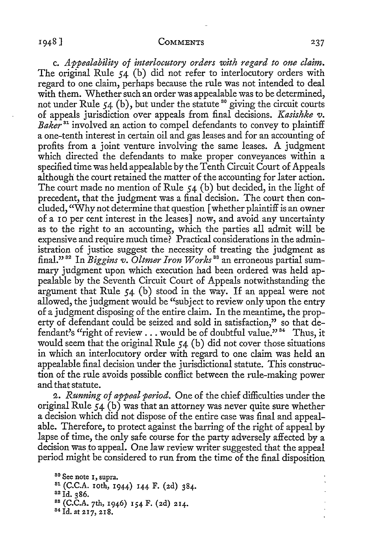c. *Appealability of interlocutory orders with regard to one claim.*  The original Rule 54 (b) did not refer to interlocutory orders with regard to one claim, perhaps because the rule was not intended to deal with them. Whether such an order was appealable was to be determined, not under Rule 54 (b), but under the statute <sup>30</sup> giving the circuit courts of appeals jurisdiction over appeals from final decisions. *Kasishke* 'V. *Baker* 31 involved an action to compel defendants to convey to plaintiff a one-tenth interest in certain oil and gas leases and for an accounting of profits from a joint venture involving the same leases. A judgment which directed the defendants to make proper conveyances within a specified time was held appealable by the Tenth Circuit Court of Appeals although the court retained the matter of the accounting for later action. The court made no mention of Rule 54 (b) but decided, in the light of precedent, that the judgment was a final decision. The court then concluded, "Why not determine that question [ whether plaintiff is an owner of a ro per cent interest in the leases] now, and avoid any uncertainty as to the right to an accounting, which the parties all admit will be expensive and require much time? Practical considerations in the administration of justice suggest the necessity of treating the judgment as final."<sup>32</sup> In *Biggins v. Oltmer Iron Works*<sup>33</sup> an erroneous partial summary judgment upon which execution had been ordered was held appealable by the Seventh Circuit Court of Appeals notwithstanding the argument that Rule 54 (b) stood in the way. If an appeal were not allowed, the judgment would be "subject to review only upon the entry of a judgment disposing of the entire claim. In the meantime, the property of defendant could be seized and sold in satisfaction," so that defendant's "right of review  $\dots$  would be of doubtful value."<sup>34</sup> Thus, it would seem that the original Rule 54 (b) did not cover those situations in which an interlocutory order with regard to one claim was held an appealable final decision under the jurisdictional statute. This construction of the rule avoids possible conflict between the rule-making power and that statute.

2. *Running of appeal period.* One of the chief difficulties under the original Rule  $54$  (b) was that an attorney was never quite sure whether a decision which did not dispose of the entire case was final and appealable. Therefore, to protect against the barring of the right of appeal by lapse of time, the only safe course for the party adversely affected by a decision was to appeal. One law review writer suggested that the appeal period might be considered to run from the time of the final disposition

<sup>81</sup> (C.C.A. 10th, 1944) 144 F. (2d) 384.<br><sup>82</sup> Id. 386.<br><sup>82</sup> Id. 386.<br><sup>83</sup> (C.C.A. 7th, 1946) 154 F. (2d) 214.<br><sup>84</sup> Id. at 217, 218.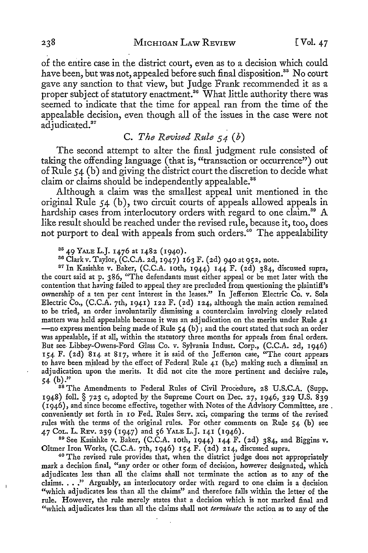of the entire case in the district court, even as to a decision which could have been, but was not, appealed before such final disposition.<sup>35</sup> No court gave any sanction to that view, but Judge Frank recommended it as a proper subject of statutory enactment.<sup>36</sup> What little authority there was seemed to indicate that the time for appeal ran from the time of the appealable decision, even though all of the issues in the case were not adjudicated.<sup>37</sup>

## C. *The Revised Rule s 4* ( *b)*

The second attempt to alter the final judgment rule consisted of taking the offending language ( that is, "transaction or occurrence") out of Rule 54 (b) and giving the district court the discretion to decide what claim or claims should be independently appealable.<sup>38</sup>

Although a claim was the smallest appeal unit mentioned in the original Rule 54 (b ), two circuit courts of appeals allowed appeals in hardship cases from interlocutory orders with regard to one claim.<sup>39</sup> A like result should be reached under the revised rule, because it, too, does not purport to deal with appeals from such orders.<sup>40</sup> The appealability

<sup>35</sup> 49 YALE L.J. 1476 at 1482 (1940).<br><sup>36</sup> Clark v. Taylor, (C.C.A. 2d, 1947) 163 F. (2d) 940 at 952, note.<br><sup>37</sup> In Kasishke v. Baker, (C.C.A. 10th, 1944) 144 F. (2d) 384, discussed supra, the court said at p. 386, "The defendants must either appeal or be met later with the contention that having failed to appeal they are precluded from questioning the plaintiff's ownership of a ten per cent interest in the leases." In Jefferson Electric Co. *v.* Sola Electric Co., (C.C.A. 7th, 1941) 122 F. (2d) 124, although the main action remained to be tried, an order involuntarily dismissing a counterclaim involving closely related matters was held appealable because it was an adjudication on the merits under Rule 41 - no express mention being made of Rule 54 (b); and the court stated that such an order was appealable, if at all, within the statutory three months for appeals from final orders. But see- Libbey-Owens-Ford Glass Co. v. Sylvania lndust. Corp., (C.C.A. 2d, 1946) 154 F. (2d) 814 at 817, where it is said of the Jefferson case, "The court appears to have been mjslead by the effect of Federal Rule 41 (b,c) making such a dismissal an adjudication upon the merits. It did not cite the more pertinent and decisive rule,  $54$  (b)."

<sup>38</sup> The Amendments to Federal Rules of Civil Procedure, 28 U.S.C.A. (Supp. 1948) foll.§ 723 c, adopted\_by the Supreme Court on Dec. 27, 1946, 329 U.S. 839 (1946), and since become effective, together with Notes of the Advisory Committee, are. conveniently set forth in IO Fed. Rules Serv. xci, comparing the terms of the revised rules with the terms of the original rules. For other comments on Rule 54 (b) see 47 Cot. L. REv. 239 (1947) and 56 YALE L.J. 141 (1946). 39 See Kasishke *v.* Baker, (C.C.A. 10th, 1944) 144 F. (2d) 384, and Biggins *v.* 

Oltmer Iron Works, (C.C.A. 7th, 1946) 154 F. (2d) 214, discussed supra.  $40$  The revised rule provides that, when the district judge does not appropriately

mark a decision final, "any order or other form of decision, however designated, which adjudicates less than all the claims shall not terminate the action as to any of the claims. . . " Arguably, an interlocutory order with regard to one claim is a decision "which adjudicates less than all the claims" and therefore falls within the letter of the rule. However, the rule merely states that a decision which is not marked final and "which adjudicates less than all the claims shall not *terminate* the action as to any of the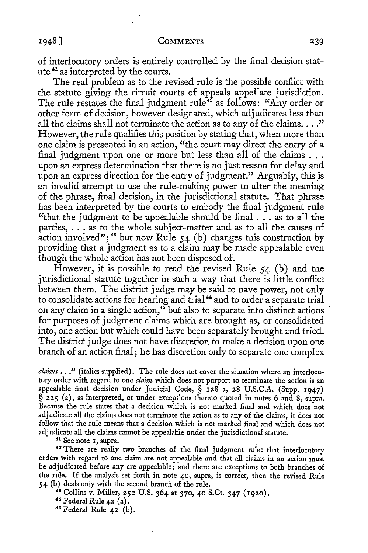of interlocutory orders is entirely controlled by the final decision statute 41 as interpreted by the courts.

The real problem as to the revised rule is the possible conflict with the statute giving the circuit courts of appeals appellate jurisdiction. The rule restates the final judgment rule<sup>42</sup> as follows: "Any order or other form of decision, however designated, which adjudicates less than all the claims shall not terminate the action as to any of the claims..." However, the rule qualifies this position by stating that, when more than one claim is presented in an action, "the court may direct the entry of a final judgment upon one or more but less than all of the claims ... upon an express determination that there is no just reason for delay and upon an express direction for the entry of judgment." Arguably, this is an invalid attempt to use the rule-making power to alter the meaning of the phrase, final decision, in the jurisdictional statute. That phrase has been interpreted by the courts to embody the final judgment rule "that the judgment to be appealable should be final ... as to all the parties, ... as to the whole subject-matter and as to all the causes of action involved";<sup>43</sup> but now Rule  $54$  (b) changes this construction by providing that a judgment as to a claim may be made appealable even though the whole action has not been disposed of.

However, it is possible to read the revised Rule  $54$  (b) and the jurisdictional statute together in such a way that there is little conflict between them. The district judge may be said to have power, not only to consolidate actions for hearing and trial<sup>44</sup> and to order a separate trial on any claim in a single action,<sup>45</sup> but also to separate into distinct actions for purposes of judgment claims which are brought as, or consolidated into, one action but which could have been separately brought and tried. The district judge does not have discretion to make a decision upon one branch of an action final; he has discretion only to separate one complex

claims . . ." (italics supplied). The rule does not cover the situation where an interlocutory order with regard to one *claim* which does not purport to terminate the action is an appealable final decision under Judicial Code, § 128 a, 28 U.S.C.A. (Supp. 1947) § 225 (a), as interpreted, or under exceptions thereto quoted in notes 6 and 8, supra. Because the rule states that a decision which is not marked final and which does not adjudicate all the claims does not terminate the action as to any of the claims, it does not follow that the rule means that a decision which is not marked final and which does not

adjudicate all the claims cannot be appealable under the jurisdictional statute.<br><sup>41</sup> See note 1, supra.<br><sup>42</sup> There are really two branches of the final judgment rule: that interlocutory orders with regard to one claim arc not appcalablc and that all claims in an action must be adjudicated before any are appealable; and there are exceptions to both branches of the rule. If the analysis set forth in note 40, supra, is correct, then the revised Rule 54 (b) deals only with the second branch of the rule.<br>
<sup>48</sup> Collins v. Miller, 252 U.S. 364 at 370, 40 S.Ct. 347 (1920).<br>
<sup>44</sup> Federal Rule 42 (a).<br>
<sup>45</sup> Federal Rule 42 (b).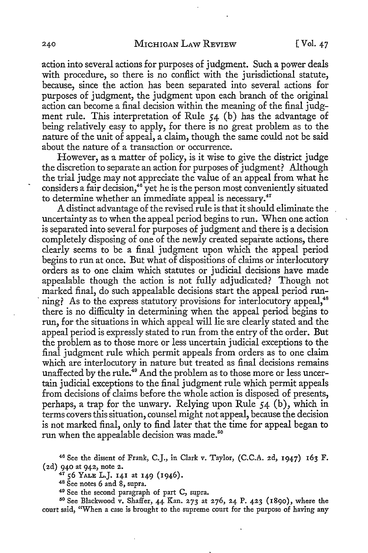action into several actions for purposes of judgment. Such a power deals with procedure, so there is no conflict with the jurisdictional statute, because, since the action has been separated into several actions for purposes of judgment, the judgment upon each branch of the original action can become a final decision within the meaning of the final judgment rule. This interpretation of Rule 54 (b) has the advantage of being relatively easy to apply, for there is no great problem as to the nature of the unit of appeal, a claim, though the same could not be said about the nature of a transaction or occurrence.

However, as a matter of policy, is it wise *to* give the district judge the discretion to separate an action for purposes of judgment? Although the trial judge may not appreciate the value of an appeal from what he considers a fair decision,<sup>46</sup> yet he is the person most conveniently situated to determine whether an immediate appeal is necessary.<sup>47</sup>

A distinct advantage of the revised rule is that it should eliminate the uncertainty as to when the appeal period begins to run. When one action is separated into several for purposes of judgment and there is a decision completely disposing of one of the newly created separate actions, there clearly seems to be a final judgment upon which the appeal period begins to run at once. But what of dispositions of claims or interlocutory orders as to one claim which statutes or judicial decisions have made appealable though the action is not fully adjudicated? Though not marked final, do such appealable decisions start the appeal period run ning? As to the express statutory provisions for interlocutory appeal,<sup>48</sup> there is no difficulty in determining when the appeal period begins to run, for the situations in which appeal will lie are clearly stated and the appeal period is expressly stated to run from the entry of the order. But the problem as to those more or less uncertain judicial exceptions to the final judgment rule which permit appeals from orders as to one claim which are interlocutory in nature but treated as final decisions remains unaffected by the rule.<sup>49</sup> And the problem as to those more or less uncertain judicial exceptions to the final judgment rule which permit appeals from decisions of claims before the whole action is disposed of presents, perhaps, a trap for the unwary. Relying upon Rule  $54$  (b), which in terms covers this situation, counsel might not appeal, because the decision is not marked final, only to find later that the time for appeal began to run when the appealable decision was made.<sup>50</sup>

court said, ''When a case is brought to the supreme court for the purpose of having any

<sup>46</sup> See the dissent of Frank, C.J., in Clark v. Taylor, (C.C.A. 2d, 1947) 163 F. (2d) 940 at 942, note 2.<br>
<sup>47</sup> 56 YALE L.J. 141 at 149 (1946).<br>
<sup>48</sup> See notes 6 and 8, supra.<br>
<sup>49</sup> See the second paragraph of part C, supra.<br>
<sup>50</sup> See Blackwood v. Shaffer, 44 Kan. 273 at 276, 24 P. 423 (1890), where t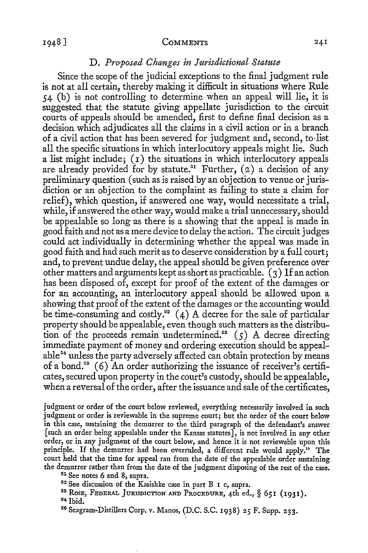### D. *Proposed Changes in Jurisdictional Statute*

Since the scope of the judicial exceptions to the final judgment rule is not at all certain, thereby making it difficult in situations where Rule 54 (b) is not controlling to determine when an appeal will lie, it is suggested that the statute giving appellate jurisdiction to the circuit courts of appeals should be amended, first to define final decision as a decision which adjudicates all the claims in a civil action or in a branch of a civil action that has been severed for judgment and, second, to-list all the specific situations in which interlocutory appeals might lie. Such a list might include; (I) the situations in which interlocutory appeals are already provided for by statute.<sup>51</sup> Further,  $(2)$  a decision of any preliminary question ( such as is raised by an objection to venue or jurisdiction or an objection to the complaint as failing to state a claim for relief), which question, if answered one way, would necessitate a trial, while, if answered the other way, would make a trial unnecessary, should be appealable so long as there is a showing that the appeal is made in good faith and not as a mere device to delay the action. The circuit judges could act individually in determining whether the appeal was made in good faith and had such merit as to deserve consideration by a full court; and, to prevent undue delay, the appeal should be given preference over other matters and arguments kept as short as practicable.  $(3)$  If an action has been disposed of, except for proof of the extent of the damages or for an accounting, an interlocutory appeal should be allowed upon a showing that proof of the extent of the damages or the accounting would be time-consuming and costly.<sup>52</sup> (4) A decree for the sale of particular property should be appealable, even though such matters as the distribution of the proceeds remain undetermined.<sup>53</sup>  $(5)$  A decree directing immediate payment of money and ordering execution should be appealable 5¾ unless the party adversely affected can obtain protection by means of a bond.<sup>55</sup> (6) An order authorizing the issuance of receiver's certificates, secured upon property in the court's custody, should be appealable, when a reversal of the order, after the issuance and sale of the certificates,

judgment or order of the court below reviewed, everything necessarily involved in such judgment or order is reviewable in the supreme court; but the order of the court below in this case, sustaining the demurrer to the third paragraph of the defendant's answer [ such an order being appealable under the Kansas statutes], is not involved in any other order, or in any judgment of the court below, and hence it is not reviewable upon this principle. If the demurrer had been overruled, a different rule would apply." The court held that the time for appeal ran from the date of the appealable order sustaining the demurrer rather than from the date of the judgment disposing of the rest of the case.<br><sup>51</sup> See notes 6 and 8, supra.<br><sup>52</sup> See discussion of the Kasishke case in part B 1 c, supra.

<sup>58</sup> Rose, Federal Jurisdiction and Procedure, 4th ed., § 651 (1931).<br><sup>54</sup> Ibid.<br><sup>55</sup> Seagram-Distillers Corp. v. Manos, (D.C. S.C. 1938) 25 F. Supp. 233.